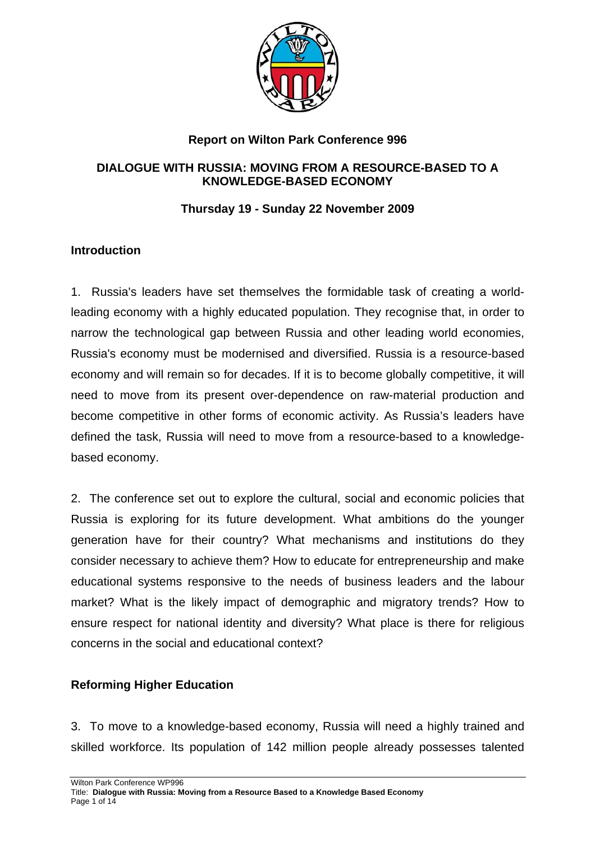

# **Report on Wilton Park Conference 996**

#### **DIALOGUE WITH RUSSIA: MOVING FROM A RESOURCE-BASED TO A KNOWLEDGE-BASED ECONOMY**

#### **Thursday 19 - Sunday 22 November 2009**

# **Introduction**

1. Russia's leaders have set themselves the formidable task of creating a worldleading economy with a highly educated population. They recognise that, in order to narrow the technological gap between Russia and other leading world economies, Russia's economy must be modernised and diversified. Russia is a resource-based economy and will remain so for decades. If it is to become globally competitive, it will need to move from its present over-dependence on raw-material production and become competitive in other forms of economic activity. As Russia's leaders have defined the task, Russia will need to move from a resource-based to a knowledgebased economy.

2. The conference set out to explore the cultural, social and economic policies that Russia is exploring for its future development. What ambitions do the younger generation have for their country? What mechanisms and institutions do they consider necessary to achieve them? How to educate for entrepreneurship and make educational systems responsive to the needs of business leaders and the labour market? What is the likely impact of demographic and migratory trends? How to ensure respect for national identity and diversity? What place is there for religious concerns in the social and educational context?

# **Reforming Higher Education**

3. To move to a knowledge-based economy, Russia will need a highly trained and skilled workforce. Its population of 142 million people already possesses talented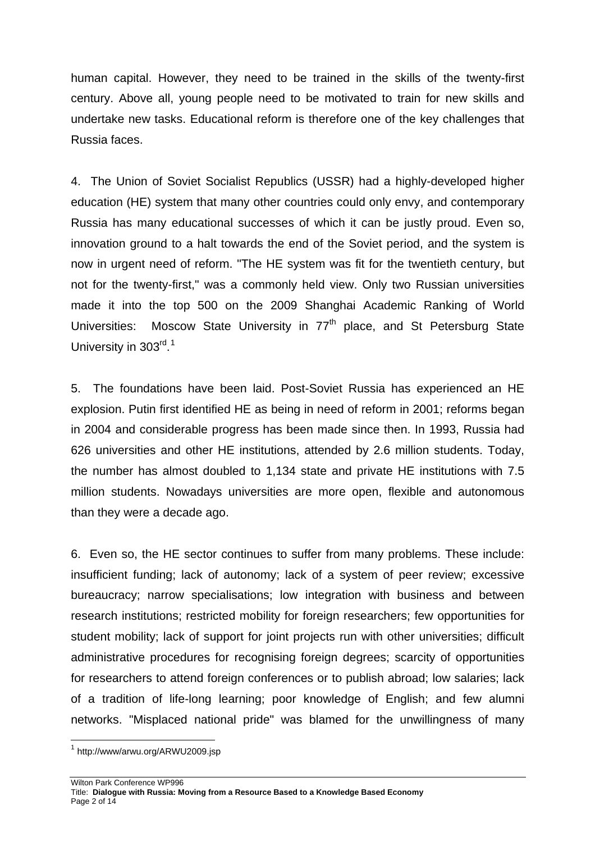human capital. However, they need to be trained in the skills of the twenty-first century. Above all, young people need to be motivated to train for new skills and undertake new tasks. Educational reform is therefore one of the key challenges that Russia faces.

4. The Union of Soviet Socialist Republics (USSR) had a highly-developed higher education (HE) system that many other countries could only envy, and contemporary Russia has many educational successes of which it can be justly proud. Even so, innovation ground to a halt towards the end of the Soviet period, and the system is now in urgent need of reform. "The HE system was fit for the twentieth century, but not for the twenty-first," was a commonly held view. Only two Russian universities made it into the top 500 on the 2009 Shanghai Academic Ranking of World Universities: Moscow State University in 77<sup>th</sup> place, and St Petersburg State University in 303<sup>rd</sup>.<sup>[1](#page-1-0)</sup>

5. The foundations have been laid. Post-Soviet Russia has experienced an HE explosion. Putin first identified HE as being in need of reform in 2001; reforms began in 2004 and considerable progress has been made since then. In 1993, Russia had 626 universities and other HE institutions, attended by 2.6 million students. Today, the number has almost doubled to 1,134 state and private HE institutions with 7.5 million students. Nowadays universities are more open, flexible and autonomous than they were a decade ago.

6. Even so, the HE sector continues to suffer from many problems. These include: insufficient funding; lack of autonomy; lack of a system of peer review; excessive bureaucracy; narrow specialisations; low integration with business and between research institutions; restricted mobility for foreign researchers; few opportunities for student mobility; lack of support for joint projects run with other universities; difficult administrative procedures for recognising foreign degrees; scarcity of opportunities for researchers to attend foreign conferences or to publish abroad; low salaries; lack of a tradition of life-long learning; poor knowledge of English; and few alumni networks. "Misplaced national pride" was blamed for the unwillingness of many

l

<span id="page-1-0"></span><sup>1</sup> http://www/arwu.org/ARWU2009.jsp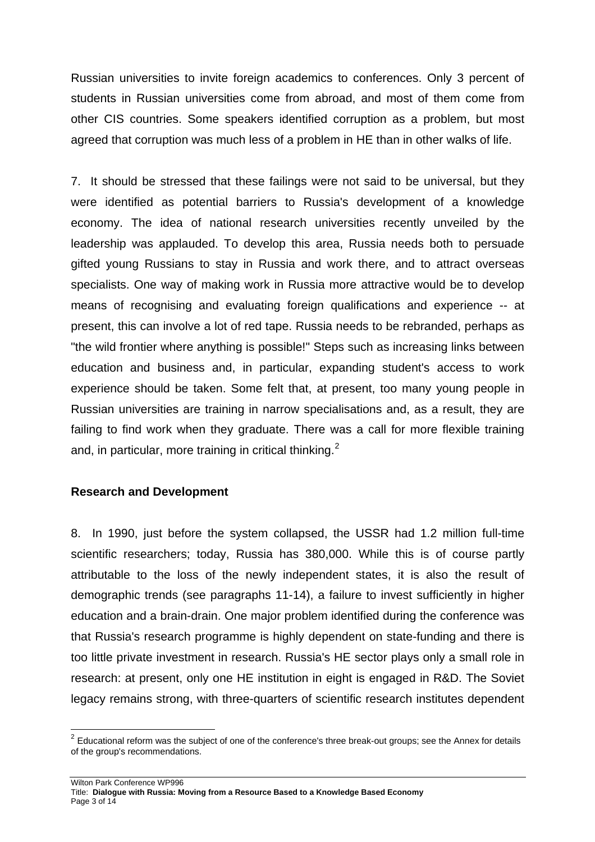Russian universities to invite foreign academics to conferences. Only 3 percent of students in Russian universities come from abroad, and most of them come from other CIS countries. Some speakers identified corruption as a problem, but most agreed that corruption was much less of a problem in HE than in other walks of life.

7. It should be stressed that these failings were not said to be universal, but they were identified as potential barriers to Russia's development of a knowledge economy. The idea of national research universities recently unveiled by the leadership was applauded. To develop this area, Russia needs both to persuade gifted young Russians to stay in Russia and work there, and to attract overseas specialists. One way of making work in Russia more attractive would be to develop means of recognising and evaluating foreign qualifications and experience -- at present, this can involve a lot of red tape. Russia needs to be rebranded, perhaps as "the wild frontier where anything is possible!" Steps such as increasing links between education and business and, in particular, expanding student's access to work experience should be taken. Some felt that, at present, too many young people in Russian universities are training in narrow specialisations and, as a result, they are failing to find work when they graduate. There was a call for more flexible training and, in particular, more training in critical thinking. $2^2$  $2^2$ 

# **Research and Development**

l

8. In 1990, just before the system collapsed, the USSR had 1.2 million full-time scientific researchers; today, Russia has 380,000. While this is of course partly attributable to the loss of the newly independent states, it is also the result of demographic trends (see paragraphs 11-14), a failure to invest sufficiently in higher education and a brain-drain. One major problem identified during the conference was that Russia's research programme is highly dependent on state-funding and there is too little private investment in research. Russia's HE sector plays only a small role in research: at present, only one HE institution in eight is engaged in R&D. The Soviet legacy remains strong, with three-quarters of scientific research institutes dependent

<span id="page-2-0"></span> $2$  Educational reform was the subject of one of the conference's three break-out groups; see the Annex for details of the group's recommendations.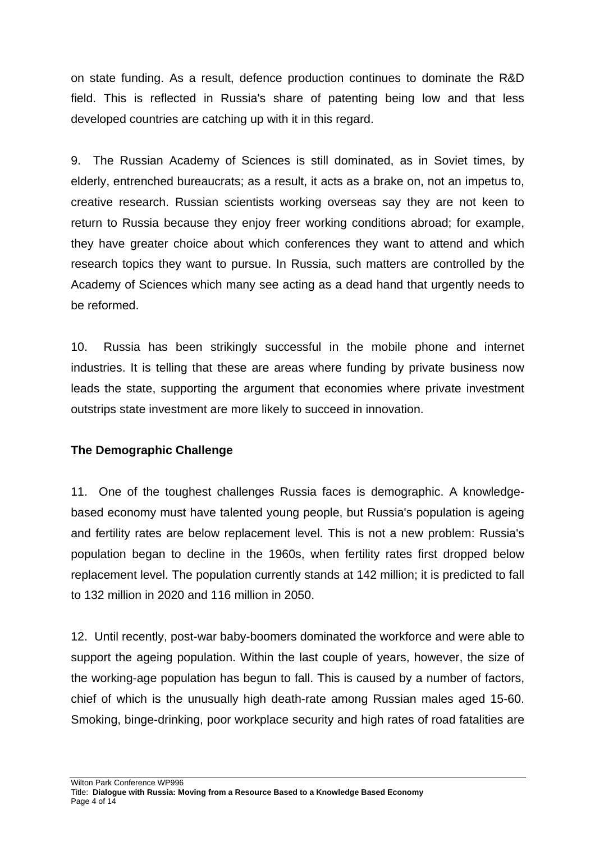on state funding. As a result, defence production continues to dominate the R&D field. This is reflected in Russia's share of patenting being low and that less developed countries are catching up with it in this regard.

9. The Russian Academy of Sciences is still dominated, as in Soviet times, by elderly, entrenched bureaucrats; as a result, it acts as a brake on, not an impetus to, creative research. Russian scientists working overseas say they are not keen to return to Russia because they enjoy freer working conditions abroad; for example, they have greater choice about which conferences they want to attend and which research topics they want to pursue. In Russia, such matters are controlled by the Academy of Sciences which many see acting as a dead hand that urgently needs to be reformed.

10. Russia has been strikingly successful in the mobile phone and internet industries. It is telling that these are areas where funding by private business now leads the state, supporting the argument that economies where private investment outstrips state investment are more likely to succeed in innovation.

# **The Demographic Challenge**

11. One of the toughest challenges Russia faces is demographic. A knowledgebased economy must have talented young people, but Russia's population is ageing and fertility rates are below replacement level. This is not a new problem: Russia's population began to decline in the 1960s, when fertility rates first dropped below replacement level. The population currently stands at 142 million; it is predicted to fall to 132 million in 2020 and 116 million in 2050.

12. Until recently, post-war baby-boomers dominated the workforce and were able to support the ageing population. Within the last couple of years, however, the size of the working-age population has begun to fall. This is caused by a number of factors, chief of which is the unusually high death-rate among Russian males aged 15-60. Smoking, binge-drinking, poor workplace security and high rates of road fatalities are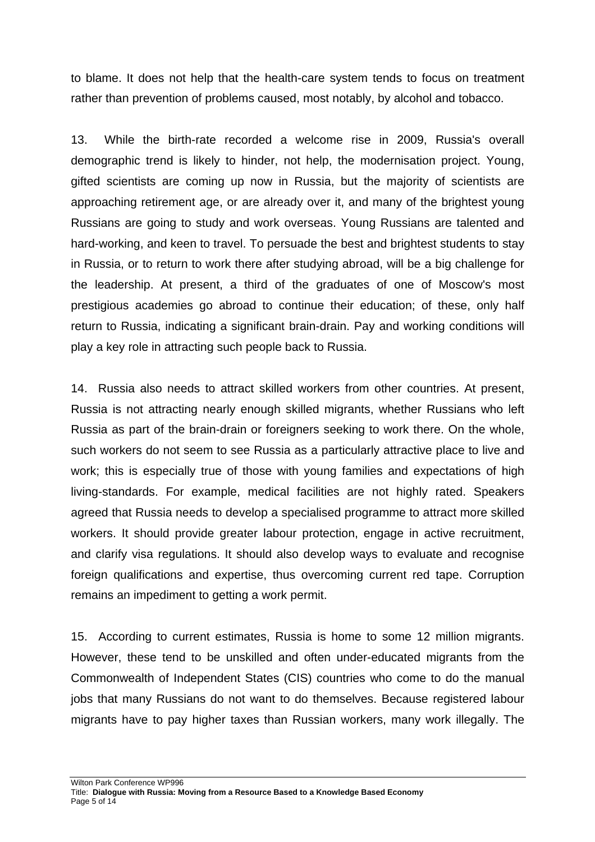to blame. It does not help that the health-care system tends to focus on treatment rather than prevention of problems caused, most notably, by alcohol and tobacco.

13. While the birth-rate recorded a welcome rise in 2009, Russia's overall demographic trend is likely to hinder, not help, the modernisation project. Young, gifted scientists are coming up now in Russia, but the majority of scientists are approaching retirement age, or are already over it, and many of the brightest young Russians are going to study and work overseas. Young Russians are talented and hard-working, and keen to travel. To persuade the best and brightest students to stay in Russia, or to return to work there after studying abroad, will be a big challenge for the leadership. At present, a third of the graduates of one of Moscow's most prestigious academies go abroad to continue their education; of these, only half return to Russia, indicating a significant brain-drain. Pay and working conditions will play a key role in attracting such people back to Russia.

14. Russia also needs to attract skilled workers from other countries. At present, Russia is not attracting nearly enough skilled migrants, whether Russians who left Russia as part of the brain-drain or foreigners seeking to work there. On the whole, such workers do not seem to see Russia as a particularly attractive place to live and work; this is especially true of those with young families and expectations of high living-standards. For example, medical facilities are not highly rated. Speakers agreed that Russia needs to develop a specialised programme to attract more skilled workers. It should provide greater labour protection, engage in active recruitment, and clarify visa regulations. It should also develop ways to evaluate and recognise foreign qualifications and expertise, thus overcoming current red tape. Corruption remains an impediment to getting a work permit.

15. According to current estimates, Russia is home to some 12 million migrants. However, these tend to be unskilled and often under-educated migrants from the Commonwealth of Independent States (CIS) countries who come to do the manual jobs that many Russians do not want to do themselves. Because registered labour migrants have to pay higher taxes than Russian workers, many work illegally. The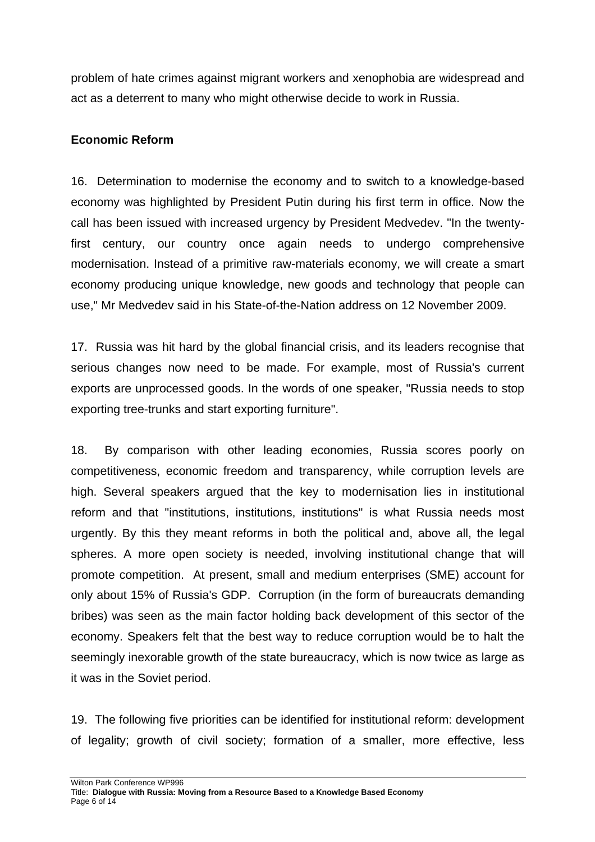problem of hate crimes against migrant workers and xenophobia are widespread and act as a deterrent to many who might otherwise decide to work in Russia.

# **Economic Reform**

16. Determination to modernise the economy and to switch to a knowledge-based economy was highlighted by President Putin during his first term in office. Now the call has been issued with increased urgency by President Medvedev. "In the twentyfirst century, our country once again needs to undergo comprehensive modernisation. Instead of a primitive raw-materials economy, we will create a smart economy producing unique knowledge, new goods and technology that people can use," Mr Medvedev said in his State-of-the-Nation address on 12 November 2009.

17. Russia was hit hard by the global financial crisis, and its leaders recognise that serious changes now need to be made. For example, most of Russia's current exports are unprocessed goods. In the words of one speaker, "Russia needs to stop exporting tree-trunks and start exporting furniture".

18. By comparison with other leading economies, Russia scores poorly on competitiveness, economic freedom and transparency, while corruption levels are high. Several speakers argued that the key to modernisation lies in institutional reform and that "institutions, institutions, institutions" is what Russia needs most urgently. By this they meant reforms in both the political and, above all, the legal spheres. A more open society is needed, involving institutional change that will promote competition. At present, small and medium enterprises (SME) account for only about 15% of Russia's GDP. Corruption (in the form of bureaucrats demanding bribes) was seen as the main factor holding back development of this sector of the economy. Speakers felt that the best way to reduce corruption would be to halt the seemingly inexorable growth of the state bureaucracy, which is now twice as large as it was in the Soviet period.

19. The following five priorities can be identified for institutional reform: development of legality; growth of civil society; formation of a smaller, more effective, less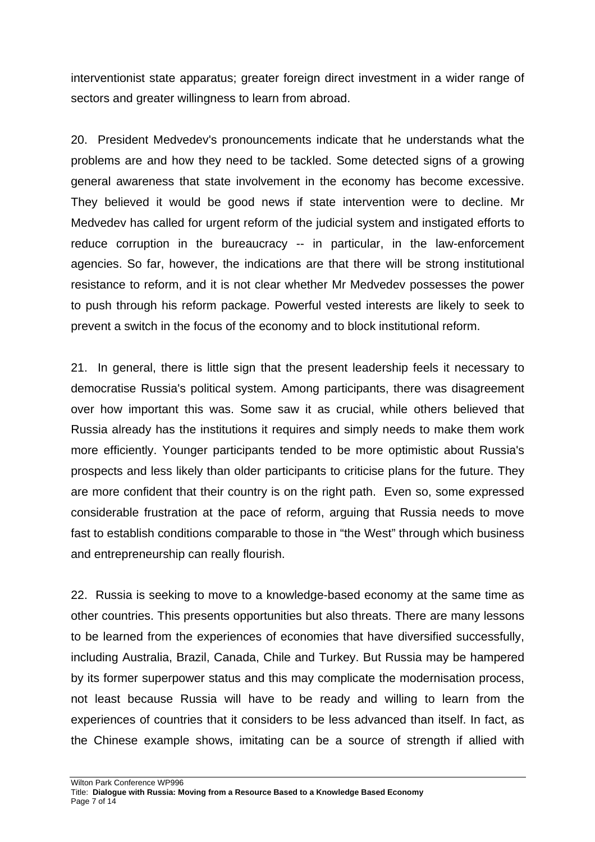interventionist state apparatus; greater foreign direct investment in a wider range of sectors and greater willingness to learn from abroad.

20. President Medvedev's pronouncements indicate that he understands what the problems are and how they need to be tackled. Some detected signs of a growing general awareness that state involvement in the economy has become excessive. They believed it would be good news if state intervention were to decline. Mr Medvedev has called for urgent reform of the judicial system and instigated efforts to reduce corruption in the bureaucracy -- in particular, in the law-enforcement agencies. So far, however, the indications are that there will be strong institutional resistance to reform, and it is not clear whether Mr Medvedev possesses the power to push through his reform package. Powerful vested interests are likely to seek to prevent a switch in the focus of the economy and to block institutional reform.

21. In general, there is little sign that the present leadership feels it necessary to democratise Russia's political system. Among participants, there was disagreement over how important this was. Some saw it as crucial, while others believed that Russia already has the institutions it requires and simply needs to make them work more efficiently. Younger participants tended to be more optimistic about Russia's prospects and less likely than older participants to criticise plans for the future. They are more confident that their country is on the right path. Even so, some expressed considerable frustration at the pace of reform, arguing that Russia needs to move fast to establish conditions comparable to those in "the West" through which business and entrepreneurship can really flourish.

22. Russia is seeking to move to a knowledge-based economy at the same time as other countries. This presents opportunities but also threats. There are many lessons to be learned from the experiences of economies that have diversified successfully, including Australia, Brazil, Canada, Chile and Turkey. But Russia may be hampered by its former superpower status and this may complicate the modernisation process, not least because Russia will have to be ready and willing to learn from the experiences of countries that it considers to be less advanced than itself. In fact, as the Chinese example shows, imitating can be a source of strength if allied with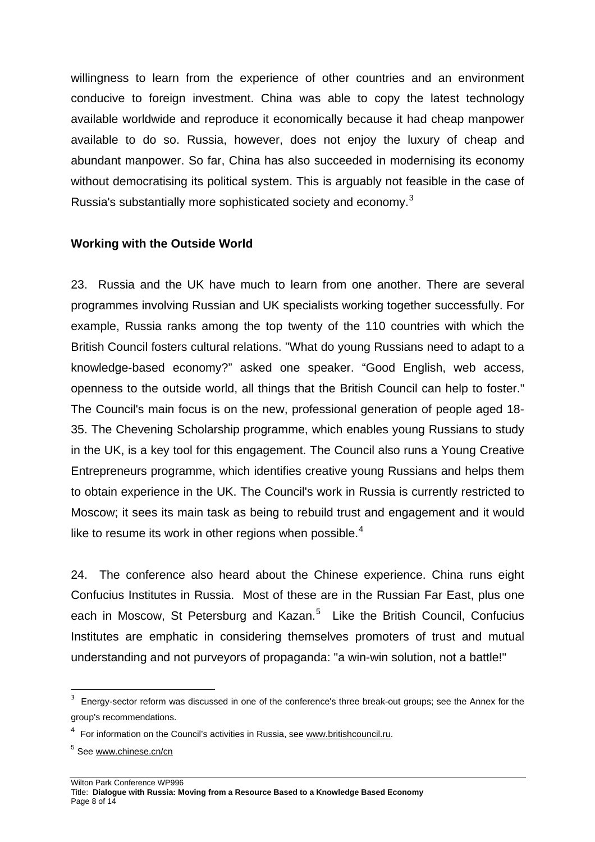willingness to learn from the experience of other countries and an environment conducive to foreign investment. China was able to copy the latest technology available worldwide and reproduce it economically because it had cheap manpower available to do so. Russia, however, does not enjoy the luxury of cheap and abundant manpower. So far, China has also succeeded in modernising its economy without democratising its political system. This is arguably not feasible in the case of Russia's substantially more sophisticated society and economy.<sup>[3](#page-7-0)</sup>

#### **Working with the Outside World**

23. Russia and the UK have much to learn from one another. There are several programmes involving Russian and UK specialists working together successfully. For example, Russia ranks among the top twenty of the 110 countries with which the British Council fosters cultural relations. "What do young Russians need to adapt to a knowledge-based economy?" asked one speaker. "Good English, web access, openness to the outside world, all things that the British Council can help to foster." The Council's main focus is on the new, professional generation of people aged 18- 35. The Chevening Scholarship programme, which enables young Russians to study in the UK, is a key tool for this engagement. The Council also runs a Young Creative Entrepreneurs programme, which identifies creative young Russians and helps them to obtain experience in the UK. The Council's work in Russia is currently restricted to Moscow; it sees its main task as being to rebuild trust and engagement and it would like to resume its work in other regions when possible.<sup>[4](#page-7-1)</sup>

24. The conference also heard about the Chinese experience. China runs eight Confucius Institutes in Russia. Most of these are in the Russian Far East, plus one each in Moscow, St Petersburg and Kazan.<sup>[5](#page-7-2)</sup> Like the British Council, Confucius Institutes are emphatic in considering themselves promoters of trust and mutual understanding and not purveyors of propaganda: "a win-win solution, not a battle!"

l

<span id="page-7-0"></span><sup>&</sup>lt;sup>3</sup> Energy-sector reform was discussed in one of the conference's three break-out groups; see the Annex for the group's recommendations.

<span id="page-7-1"></span><sup>&</sup>lt;sup>4</sup> For information on the Council's activities in Russia, see [www.britishcouncil.ru.](http://www.britishcouncil.ru/)

<span id="page-7-2"></span><sup>5</sup> See [www.chinese.cn/cn](http://www.chinese.cn/cn)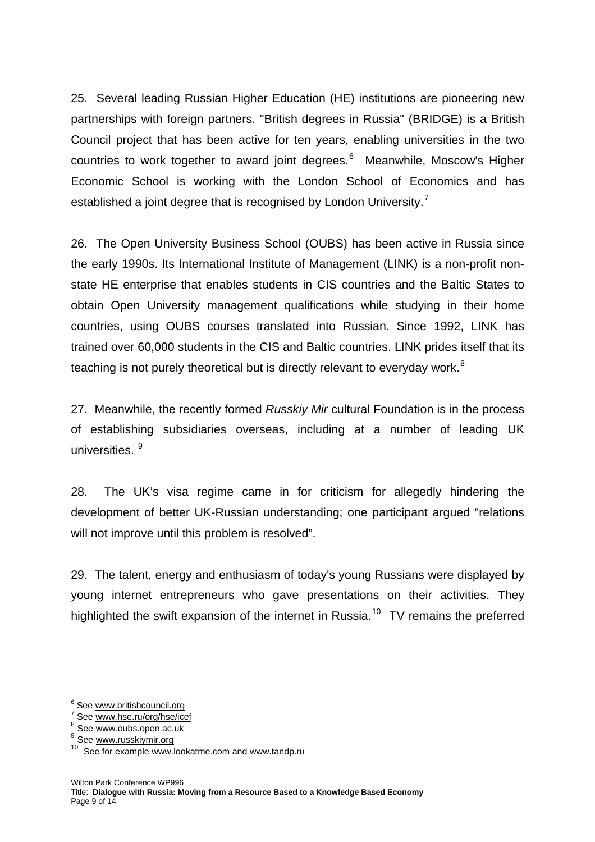25. Several leading Russian Higher Education (HE) institutions are pioneering new partnerships with foreign partners. "British degrees in Russia" (BRIDGE) is a British Council project that has been active for ten years, enabling universities in the two countries to work together to award joint degrees.<sup>[6](#page-8-0)</sup> Meanwhile, Moscow's Higher Economic School is working with the London School of Economics and has established a joint degree that is recognised by London University.<sup>[7](#page-8-1)</sup>

26. The Open University Business School (OUBS) has been active in Russia since the early 1990s. Its International Institute of Management (LINK) is a non-profit nonstate HE enterprise that enables students in CIS countries and the Baltic States to obtain Open University management qualifications while studying in their home countries, using OUBS courses translated into Russian. Since 1992, LINK has trained over 60,000 students in the CIS and Baltic countries. LINK prides itself that its teaching is not purely theoretical but is directly relevant to everyday work.<sup>[8](#page-8-2)</sup>

27. Meanwhile, the recently formed *Russkiy Mir* cultural Foundation is in the process of establishing subsidiaries overseas, including at a number of leading UK universities.<sup>[9](#page-8-3)</sup>

28. The UK's visa regime came in for criticism for allegedly hindering the development of better UK-Russian understanding; one participant argued "relations will not improve until this problem is resolved".

29. The talent, energy and enthusiasm of today's young Russians were displayed by young internet entrepreneurs who gave presentations on their activities. They highlighted the swift expansion of the internet in Russia.<sup>[10](#page-8-4)</sup> TV remains the preferred

e<br><sup>6</sup> See <u>www.britishcouncil.org</u><br>7 See www.bee.ry/ara/bee/ie

<span id="page-8-1"></span><span id="page-8-0"></span><sup>&</sup>lt;sup>7</sup> See [www.hse.ru/org/hse/icef](http://www.hse.ru/org/hse/icef)<br><sup>8</sup> See [www.oubs.open.ac.uk](http://www.oubs.open.ac.uk/)

<span id="page-8-3"></span><span id="page-8-2"></span><sup>9</sup> See [www.russkiymir.org](http://www.russkiymir.org/)

<span id="page-8-4"></span><sup>&</sup>lt;sup>10</sup> See for example www.lookatme.com and www.tandp.ru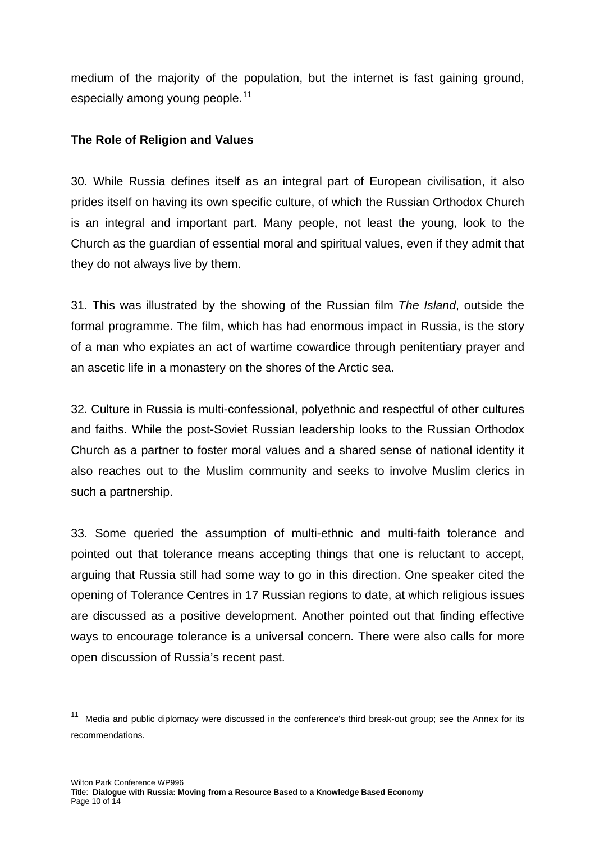medium of the majority of the population, but the internet is fast gaining ground, especially among young people.<sup>[11](#page-9-0)</sup>

#### **The Role of Religion and Values**

30. While Russia defines itself as an integral part of European civilisation, it also prides itself on having its own specific culture, of which the Russian Orthodox Church is an integral and important part. Many people, not least the young, look to the Church as the guardian of essential moral and spiritual values, even if they admit that they do not always live by them.

31. This was illustrated by the showing of the Russian film *The Island*, outside the formal programme. The film, which has had enormous impact in Russia, is the story of a man who expiates an act of wartime cowardice through penitentiary prayer and an ascetic life in a monastery on the shores of the Arctic sea.

32. Culture in Russia is multi-confessional, polyethnic and respectful of other cultures and faiths. While the post-Soviet Russian leadership looks to the Russian Orthodox Church as a partner to foster moral values and a shared sense of national identity it also reaches out to the Muslim community and seeks to involve Muslim clerics in such a partnership.

33. Some queried the assumption of multi-ethnic and multi-faith tolerance and pointed out that tolerance means accepting things that one is reluctant to accept, arguing that Russia still had some way to go in this direction. One speaker cited the opening of Tolerance Centres in 17 Russian regions to date, at which religious issues are discussed as a positive development. Another pointed out that finding effective ways to encourage tolerance is a universal concern. There were also calls for more open discussion of Russia's recent past.

l

<span id="page-9-0"></span>Media and public diplomacy were discussed in the conference's third break-out group; see the Annex for its recommendations.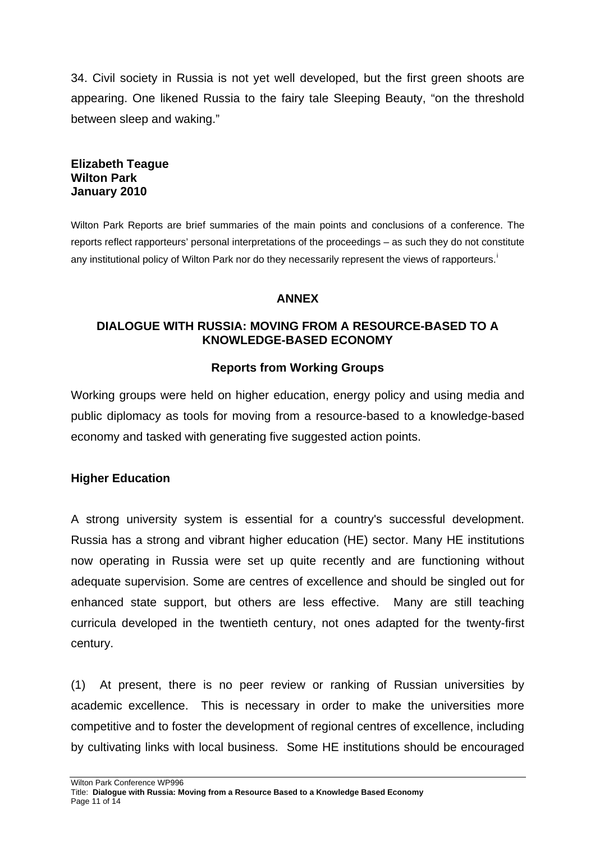34. Civil society in Russia is not yet well developed, but the first green shoots are appearing. One likened Russia to the fairy tale Sleeping Beauty, "on the threshold between sleep and waking."

#### **Elizabeth Teague Wilton Park January 2010**

Wilton Park Reports are brief summaries of the main points and conclusions of a conference. The reports reflect rapporteurs' personal interpretations of the proceedings – as such they do not constitute any [i](#page-13-0)nstitutional policy of Wilton Park nor do they necessarily represent the views of rapporteurs.<sup>1</sup>

# **ANNEX**

#### **DIALOGUE WITH RUSSIA: MOVING FROM A RESOURCE-BASED TO A KNOWLEDGE-BASED ECONOMY**

# **Reports from Working Groups**

Working groups were held on higher education, energy policy and using media and public diplomacy as tools for moving from a resource-based to a knowledge-based economy and tasked with generating five suggested action points.

# **Higher Education**

A strong university system is essential for a country's successful development. Russia has a strong and vibrant higher education (HE) sector. Many HE institutions now operating in Russia were set up quite recently and are functioning without adequate supervision. Some are centres of excellence and should be singled out for enhanced state support, but others are less effective. Many are still teaching curricula developed in the twentieth century, not ones adapted for the twenty-first century.

(1) At present, there is no peer review or ranking of Russian universities by academic excellence. This is necessary in order to make the universities more competitive and to foster the development of regional centres of excellence, including by cultivating links with local business. Some HE institutions should be encouraged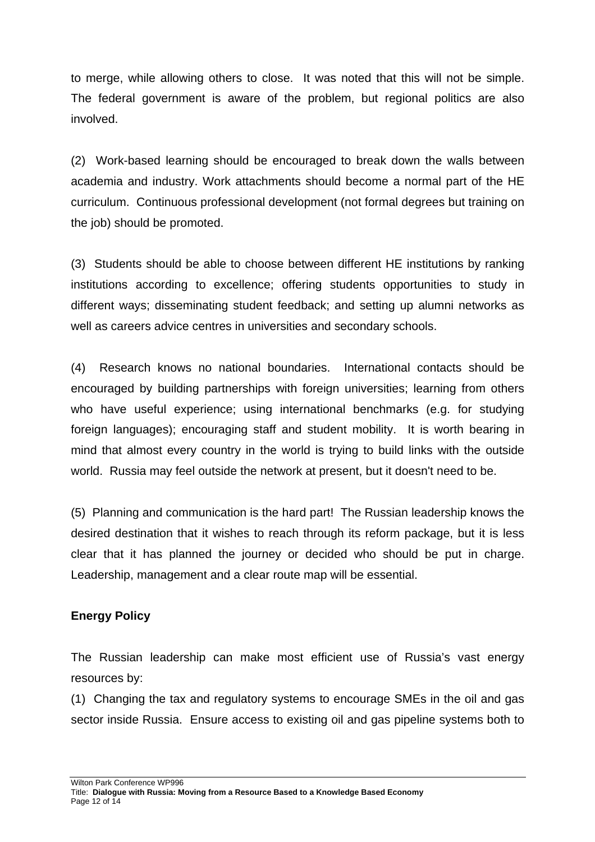to merge, while allowing others to close. It was noted that this will not be simple. The federal government is aware of the problem, but regional politics are also involved.

(2) Work-based learning should be encouraged to break down the walls between academia and industry. Work attachments should become a normal part of the HE curriculum. Continuous professional development (not formal degrees but training on the job) should be promoted.

(3) Students should be able to choose between different HE institutions by ranking institutions according to excellence; offering students opportunities to study in different ways; disseminating student feedback; and setting up alumni networks as well as careers advice centres in universities and secondary schools.

(4) Research knows no national boundaries. International contacts should be encouraged by building partnerships with foreign universities; learning from others who have useful experience; using international benchmarks (e.g. for studying foreign languages); encouraging staff and student mobility. It is worth bearing in mind that almost every country in the world is trying to build links with the outside world. Russia may feel outside the network at present, but it doesn't need to be.

(5) Planning and communication is the hard part! The Russian leadership knows the desired destination that it wishes to reach through its reform package, but it is less clear that it has planned the journey or decided who should be put in charge. Leadership, management and a clear route map will be essential.

# **Energy Policy**

The Russian leadership can make most efficient use of Russia's vast energy resources by:

(1) Changing the tax and regulatory systems to encourage SMEs in the oil and gas sector inside Russia. Ensure access to existing oil and gas pipeline systems both to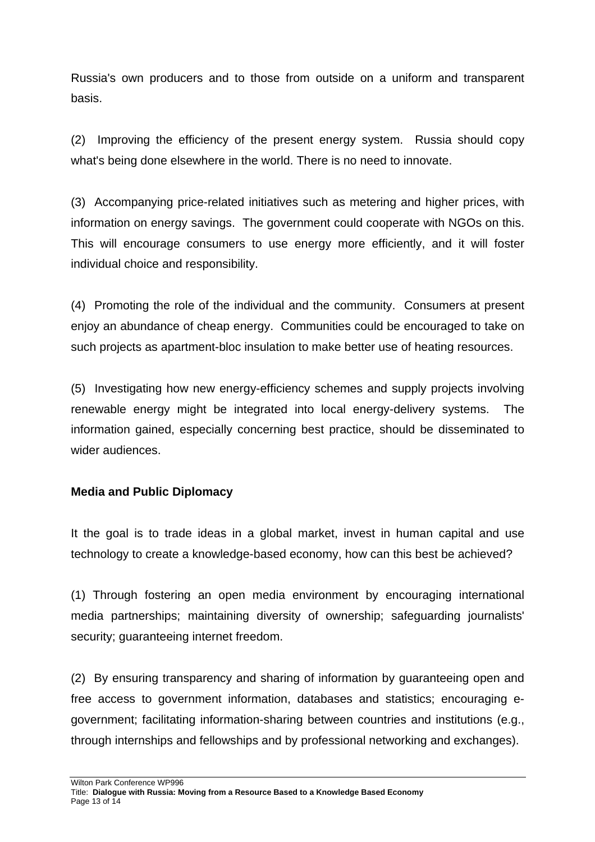Russia's own producers and to those from outside on a uniform and transparent basis.

(2) Improving the efficiency of the present energy system. Russia should copy what's being done elsewhere in the world. There is no need to innovate.

(3) Accompanying price-related initiatives such as metering and higher prices, with information on energy savings. The government could cooperate with NGOs on this. This will encourage consumers to use energy more efficiently, and it will foster individual choice and responsibility.

(4) Promoting the role of the individual and the community. Consumers at present enjoy an abundance of cheap energy. Communities could be encouraged to take on such projects as apartment-bloc insulation to make better use of heating resources.

(5) Investigating how new energy-efficiency schemes and supply projects involving renewable energy might be integrated into local energy-delivery systems. The information gained, especially concerning best practice, should be disseminated to wider audiences.

# **Media and Public Diplomacy**

It the goal is to trade ideas in a global market, invest in human capital and use technology to create a knowledge-based economy, how can this best be achieved?

(1) Through fostering an open media environment by encouraging international media partnerships; maintaining diversity of ownership; safeguarding journalists' security; guaranteeing internet freedom.

(2) By ensuring transparency and sharing of information by guaranteeing open and free access to government information, databases and statistics; encouraging egovernment; facilitating information-sharing between countries and institutions (e.g., through internships and fellowships and by professional networking and exchanges).